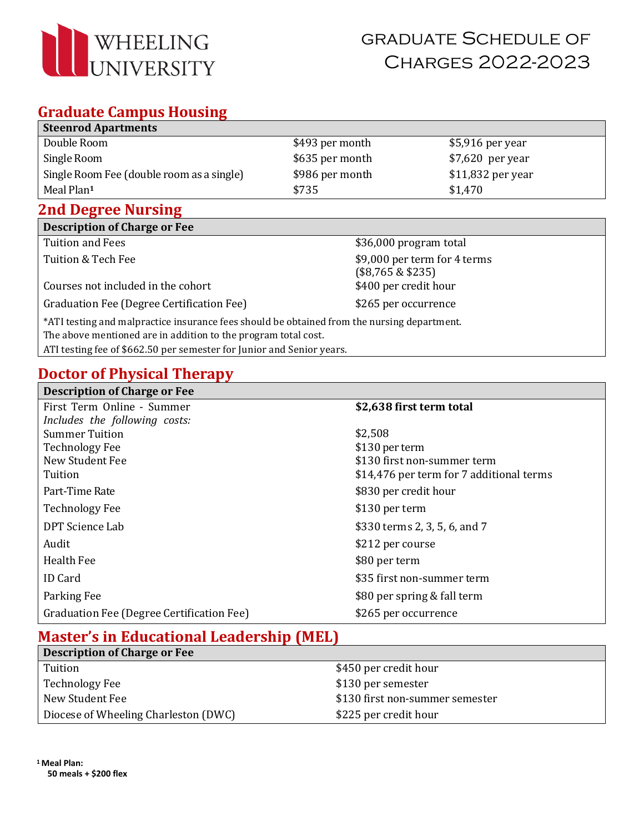

# **Graduate Campus Housing**

| <b>Steenrod Apartments</b>                |                 |                    |
|-------------------------------------------|-----------------|--------------------|
| Double Room                               | \$493 per month | \$5,916 per year   |
| Single Room                               | \$635 per month | $$7,620$ per year  |
| Single Room Fee (double room as a single) | \$986 per month | $$11,832$ per year |
| Meal Plan <sup>1</sup>                    | \$735           | \$1,470            |

### **2nd Degree Nursing**

| <b>Description of Charge or Fee</b>                                                                                                                           |                                                    |
|---------------------------------------------------------------------------------------------------------------------------------------------------------------|----------------------------------------------------|
| Tuition and Fees                                                                                                                                              | \$36,000 program total                             |
| Tuition & Tech Fee                                                                                                                                            | \$9,000 per term for 4 terms<br>$($8,765 \& $235)$ |
| Courses not included in the cohort                                                                                                                            | \$400 per credit hour                              |
| Graduation Fee (Degree Certification Fee)                                                                                                                     | \$265 per occurrence                               |
| *ATI testing and malpractice insurance fees should be obtained from the nursing department.<br>The above mentioned are in addition to the program total cost. |                                                    |

ATI testing fee of \$662.50 per semester for Junior and Senior years.

### **Doctor of Physical Therapy**

| <b>Description of Charge or Fee</b>       |                                          |
|-------------------------------------------|------------------------------------------|
| First Term Online - Summer                | \$2,638 first term total                 |
| Includes the following costs:             |                                          |
| <b>Summer Tuition</b>                     | \$2,508                                  |
| <b>Technology Fee</b>                     | \$130 per term                           |
| New Student Fee                           | \$130 first non-summer term              |
| Tuition                                   | \$14,476 per term for 7 additional terms |
| Part-Time Rate                            | \$830 per credit hour                    |
| <b>Technology Fee</b>                     | \$130 per term                           |
| DPT Science Lab                           | \$330 terms 2, 3, 5, 6, and 7            |
| Audit                                     | \$212 per course                         |
| Health Fee                                | \$80 per term                            |
| ID Card                                   | \$35 first non-summer term               |
| Parking Fee                               | \$80 per spring & fall term              |
| Graduation Fee (Degree Certification Fee) | \$265 per occurrence                     |

## **Master's in Educational Leadership (MEL)**

| Description of Charge or Fee         |                                 |
|--------------------------------------|---------------------------------|
| Tuition                              | \$450 per credit hour           |
| Technology Fee                       | \$130 per semester              |
| New Student Fee                      | \$130 first non-summer semester |
| Diocese of Wheeling Charleston (DWC) | \$225 per credit hour           |